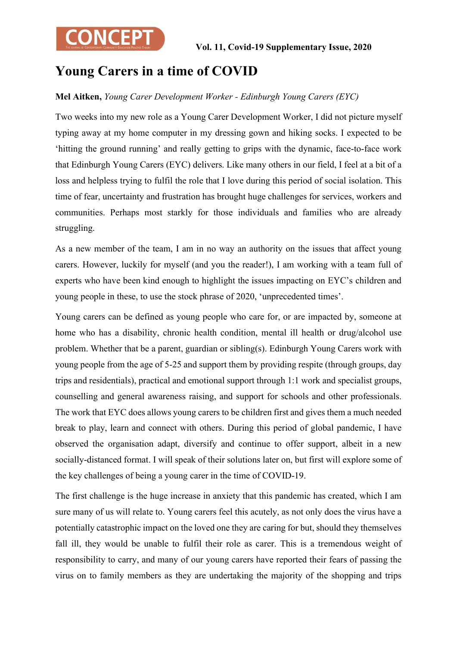

## Young Carers in a time of COVID

#### Mel Aitken, Young Carer Development Worker - Edinburgh Young Carers (EYC)

Two weeks into my new role as a Young Carer Development Worker, I did not picture myself typing away at my home computer in my dressing gown and hiking socks. I expected to be 'hitting the ground running' and really getting to grips with the dynamic, face-to-face work that Edinburgh Young Carers (EYC) delivers. Like many others in our field, I feel at a bit of a loss and helpless trying to fulfil the role that I love during this period of social isolation. This time of fear, uncertainty and frustration has brought huge challenges for services, workers and communities. Perhaps most starkly for those individuals and families who are already struggling.

As a new member of the team, I am in no way an authority on the issues that affect young carers. However, luckily for myself (and you the reader!), I am working with a team full of experts who have been kind enough to highlight the issues impacting on EYC's children and young people in these, to use the stock phrase of 2020, 'unprecedented times'.

Young carers can be defined as young people who care for, or are impacted by, someone at home who has a disability, chronic health condition, mental ill health or drug/alcohol use problem. Whether that be a parent, guardian or sibling(s). Edinburgh Young Carers work with young people from the age of 5-25 and support them by providing respite (through groups, day trips and residentials), practical and emotional support through 1:1 work and specialist groups, counselling and general awareness raising, and support for schools and other professionals. The work that EYC does allows young carers to be children first and gives them a much needed break to play, learn and connect with others. During this period of global pandemic, I have observed the organisation adapt, diversify and continue to offer support, albeit in a new socially-distanced format. I will speak of their solutions later on, but first will explore some of the key challenges of being a young carer in the time of COVID-19.

The first challenge is the huge increase in anxiety that this pandemic has created, which I am sure many of us will relate to. Young carers feel this acutely, as not only does the virus have a potentially catastrophic impact on the loved one they are caring for but, should they themselves fall ill, they would be unable to fulfil their role as carer. This is a tremendous weight of responsibility to carry, and many of our young carers have reported their fears of passing the virus on to family members as they are undertaking the majority of the shopping and trips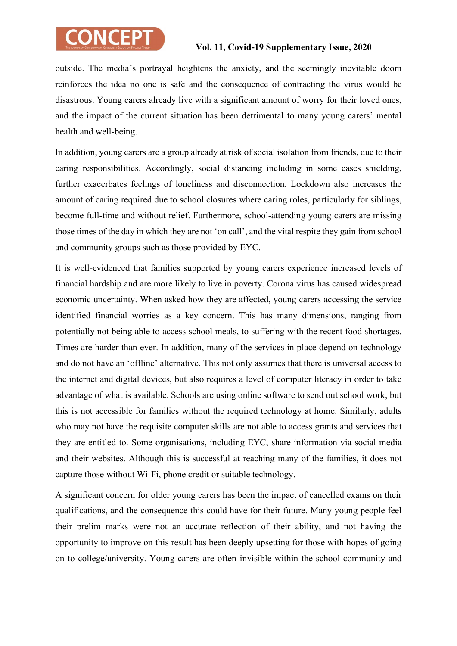# **CONCEPT**

### Vol. 11, Covid-19 Supplementary Issue, 2020

outside. The media's portrayal heightens the anxiety, and the seemingly inevitable doom reinforces the idea no one is safe and the consequence of contracting the virus would be disastrous. Young carers already live with a significant amount of worry for their loved ones, and the impact of the current situation has been detrimental to many young carers' mental health and well-being.

In addition, young carers are a group already at risk of social isolation from friends, due to their caring responsibilities. Accordingly, social distancing including in some cases shielding, further exacerbates feelings of loneliness and disconnection. Lockdown also increases the amount of caring required due to school closures where caring roles, particularly for siblings, become full-time and without relief. Furthermore, school-attending young carers are missing those times of the day in which they are not 'on call', and the vital respite they gain from school and community groups such as those provided by EYC.

It is well-evidenced that families supported by young carers experience increased levels of financial hardship and are more likely to live in poverty. Corona virus has caused widespread economic uncertainty. When asked how they are affected, young carers accessing the service identified financial worries as a key concern. This has many dimensions, ranging from potentially not being able to access school meals, to suffering with the recent food shortages. Times are harder than ever. In addition, many of the services in place depend on technology and do not have an 'offline' alternative. This not only assumes that there is universal access to the internet and digital devices, but also requires a level of computer literacy in order to take advantage of what is available. Schools are using online software to send out school work, but this is not accessible for families without the required technology at home. Similarly, adults who may not have the requisite computer skills are not able to access grants and services that they are entitled to. Some organisations, including EYC, share information via social media and their websites. Although this is successful at reaching many of the families, it does not capture those without Wi-Fi, phone credit or suitable technology.

A significant concern for older young carers has been the impact of cancelled exams on their qualifications, and the consequence this could have for their future. Many young people feel their prelim marks were not an accurate reflection of their ability, and not having the opportunity to improve on this result has been deeply upsetting for those with hopes of going on to college/university. Young carers are often invisible within the school community and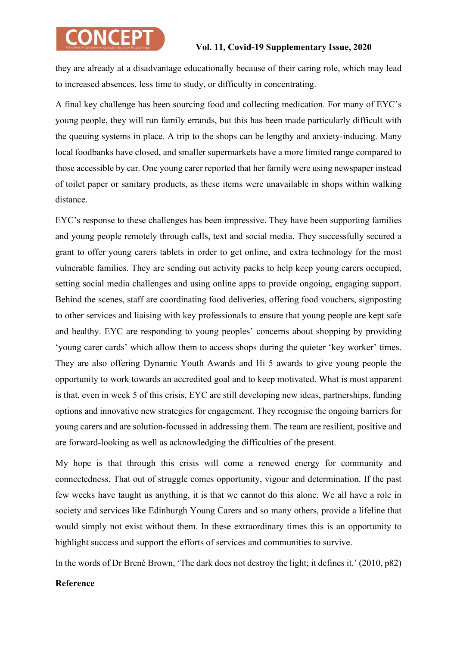# **CONCEPT**

### Vol. 11, Covid-19 Supplementary Issue, 2020

they are already at a disadvantage educationally because of their caring role, which may lead to increased absences, less time to study, or difficulty in concentrating.

A final key challenge has been sourcing food and collecting medication. For many of EYC's young people, they will run family errands, but this has been made particularly difficult with the queuing systems in place. A trip to the shops can be lengthy and anxiety-inducing. Many local foodbanks have closed, and smaller supermarkets have a more limited range compared to those accessible by car. One young carer reported that her family were using newspaper instead of toilet paper or sanitary products, as these items were unavailable in shops within walking distance.

EYC's response to these challenges has been impressive. They have been supporting families and young people remotely through calls, text and social media. They successfully secured a grant to offer young carers tablets in order to get online, and extra technology for the most vulnerable families. They are sending out activity packs to help keep young carers occupied, setting social media challenges and using online apps to provide ongoing, engaging support. Behind the scenes, staff are coordinating food deliveries, offering food vouchers, signposting to other services and liaising with key professionals to ensure that young people are kept safe and healthy. EYC are responding to young peoples' concerns about shopping by providing 'young carer cards' which allow them to access shops during the quieter 'key worker' times. They are also offering Dynamic Youth Awards and Hi 5 awards to give young people the opportunity to work towards an accredited goal and to keep motivated. What is most apparent is that, even in week 5 of this crisis, EYC are still developing new ideas, partnerships, funding options and innovative new strategies for engagement. They recognise the ongoing barriers for young carers and are solution-focussed in addressing them. The team are resilient, positive and are forward-looking as well as acknowledging the difficulties of the present.

My hope is that through this crisis will come a renewed energy for community and connectedness. That out of struggle comes opportunity, vigour and determination. If the past few weeks have taught us anything, it is that we cannot do this alone. We all have a role in society and services like Edinburgh Young Carers and so many others, provide a lifeline that would simply not exist without them. In these extraordinary times this is an opportunity to highlight success and support the efforts of services and communities to survive.

In the words of Dr Brené Brown, 'The dark does not destroy the light; it defines it.' (2010, p82)

#### Reference